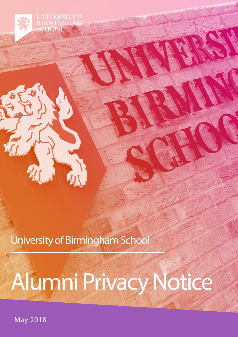**UNIVERSITYOF RMINGH** SCHOOL

University of Birmingham School

# Alumni Privacy Notice

May 2018

 $\boldsymbol{Q}$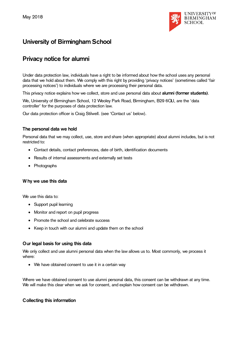

# **University of Birmingham School**

# **Privacy notice for alumni**

Under data protection law, individuals have a right to be informed about how the school uses any personal data that we hold about them. We comply with this right by providing 'privacy notices' (sometimes called 'fair processing notices') to individuals where we are processing their personal data.

This privacy notice explains how we collect, store and use personal data about **alumni (former students)**.

We, University of Birmingham School, 12 Weoley Park Road, Birmingham, B29 6QU, are the 'data controller' for the purposes of data protection law.

Our data protection officer is Craig Stilwell. (see 'Contact us' below).

#### **The personal data we hold**

Personal data that we may collect, use, store and share (when appropriate) about alumni includes, but is not restricted to:

- Contact details, contact preferences, date of birth, identification documents
- Results of internal assessments and externally set tests
- Photographs

#### **W hy we use this data**

We use this data to:

- Support pupil learning
- Monitor and report on pupil progress
- Promote the school and celebrate success
- Keep in touch with our alumni and update them on the school

#### **Our legal basis for using this data**

We only collect and use alumni personal data when the law allows us to. Most commonly, we process it where:

• We have obtained consent to use it in a certain way

Where we have obtained consent to use alumni personal data, this consent can be withdrawn at any time. We will make this clear when we ask for consent, and explain how consent can be withdrawn.

#### **Collecting this information**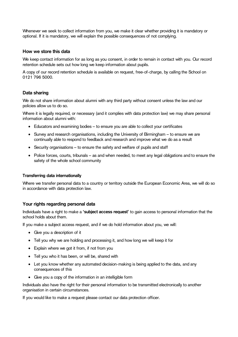Whenever we seek to collect information from you, we make it clear whether providing it is mandatory or optional. If it is mandatory, we will explain the possible consequences of not complying.

#### **How we store this data**

We keep contact information for as long as you consent, in order to remain in contact with you. Our record retention schedule sets out how long we keep information about pupils.

A copy of our record retention schedule is available on request, free-of-charge, by calling the School on 0121 796 5000.

## **Data sharing**

We do not share information about alumni with any third party without consent unless the law and our policies allow us to do so.

Where it is legally required, or necessary (and it complies with data protection law) we may share personal information about alumni with:

- Educators and examining bodies to ensure you are able to collect your certificates
- Survey and research organisations, including the University of Birmingham to ensure we are continually able to respond to feedback and research and improve what we do as a result
- Security organisations to ensure the safety and welfare of pupils and staff
- Police forces, courts, tribunals as and when needed, to meet any legal obligations and to ensure the safety of the whole school community

#### **Transferring data internationally**

Where we transfer personal data to a country or territory outside the European Economic Area, we will do so in accordance with data protection law.

#### **Your rights regarding personal data**

Individuals have a right to make a **'subject access request'** to gain access to personal information that the school holds about them.

If you make a subject access request, and if we do hold information about you, we will:

- Give you a description of it
- Tell you why we are holding and processing it, and how long we will keep it for
- Explain where we got it from, if not from you
- Tell you who it has been, or will be, shared with
- Let you know whether any automated decision-making is being applied to the data, and any consequences of this
- Give you a copy of the information in an intelligible form

Individuals also have the right for their personal information to be transmitted electronically to another organisation in certain circumstances.

If you would like to make a request please contact our data protection officer.